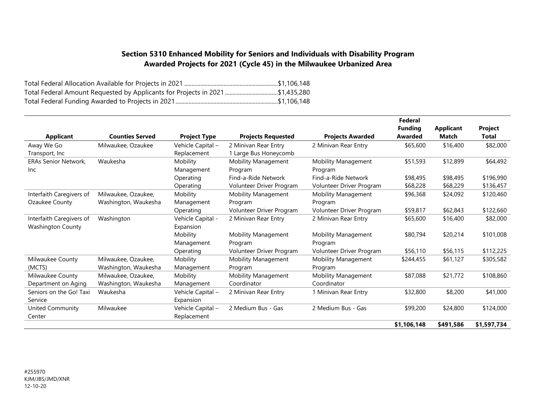## **Section 5310 Enhanced Mobility for Seniors and Individuals with Disability Program Awarded Projects for 2021 (Cycle 45) in the Milwaukee Urbanized Area**

| Total Federal Amount Requested by Applicants for Projects in 2021 \$1,435,280 |  |
|-------------------------------------------------------------------------------|--|
|                                                                               |  |

|                             |                        |                     |                            |                            | Federal        |                  |             |
|-----------------------------|------------------------|---------------------|----------------------------|----------------------------|----------------|------------------|-------------|
|                             |                        |                     |                            |                            | <b>Funding</b> | <b>Applicant</b> | Project     |
| <b>Applicant</b>            | <b>Counties Served</b> | <b>Project Type</b> | <b>Projects Requested</b>  | <b>Projects Awarded</b>    | Awarded        | <b>Match</b>     | Total       |
| Away We Go                  | Milwaukee, Ozaukee     | Vehicle Capital -   | 2 Minivan Rear Entry       | 2 Minivan Rear Entry       | \$65,600       | \$16,400         | \$82,000    |
| Transport, Inc.             |                        | Replacement         | 1 Large Bus Honeycomb      |                            |                |                  |             |
| <b>ERAs Senior Network.</b> | Waukesha               | Mobility            | <b>Mobility Management</b> | <b>Mobility Management</b> | \$51,593       | \$12,899         | \$64,492    |
| <b>Inc</b>                  |                        | Management          | Program                    | Program                    |                |                  |             |
|                             |                        | Operating           | Find-a-Ride Network        | Find-a-Ride Network        | \$98,495       | \$98,495         | \$196,990   |
|                             |                        | Operating           | Volunteer Driver Program   | Volunteer Driver Program   | \$68,228       | \$68,229         | \$136,457   |
| Interfaith Caregivers of    | Milwaukee, Ozaukee,    | Mobility            | Mobility Management        | Mobility Management        | \$96,368       | \$24,092         | \$120,460   |
| Ozaukee County              | Washington, Waukesha   | Management          | Program                    | Program                    |                |                  |             |
|                             |                        | Operating           | Volunteer Driver Program   | Volunteer Driver Program   | \$59,817       | \$62,843         | \$122,660   |
| Interfaith Caregivers of    | Washington             | Vehicle Capital -   | 2 Minivan Rear Entry       | 2 Minivan Rear Entry       | \$65,600       | \$16,400         | \$82,000    |
| <b>Washington County</b>    |                        | Expansion           |                            |                            |                |                  |             |
|                             |                        | Mobility            | <b>Mobility Management</b> | <b>Mobility Management</b> | \$80,794       | \$20,214         | \$101,008   |
|                             |                        | Management          | Program                    | Program                    |                |                  |             |
|                             |                        | Operating           | Volunteer Driver Program   | Volunteer Driver Program   | \$56,110       | \$56,115         | \$112,225   |
| Milwaukee County            | Milwaukee, Ozaukee,    | Mobility            | <b>Mobility Management</b> | Mobility Management        | \$244,455      | \$61,127         | \$305,582   |
| (MCTS)                      | Washington, Waukesha   | Management          | Program                    | Program                    |                |                  |             |
| Milwaukee County            | Milwaukee, Ozaukee,    | Mobility            | <b>Mobility Management</b> | <b>Mobility Management</b> | \$87,088       | \$21,772         | \$108,860   |
| Department on Aging         | Washington, Waukesha   | Management          | Coordinator                | Coordinator                |                |                  |             |
| Seniors on the Go! Taxi     | Waukesha               | Vehicle Capital -   | 2 Minivan Rear Entry       | 1 Minivan Rear Entry       | \$32,800       | \$8,200          | \$41,000    |
| Service                     |                        | Expansion           |                            |                            |                |                  |             |
| United Community            | Milwaukee              | Vehicle Capital -   | 2 Medium Bus - Gas         | 2 Medium Bus - Gas         | \$99,200       | \$24,800         | \$124,000   |
| Center                      |                        | Replacement         |                            |                            |                |                  |             |
|                             |                        |                     |                            |                            | \$1,106,148    | \$491,586        | \$1,597,734 |